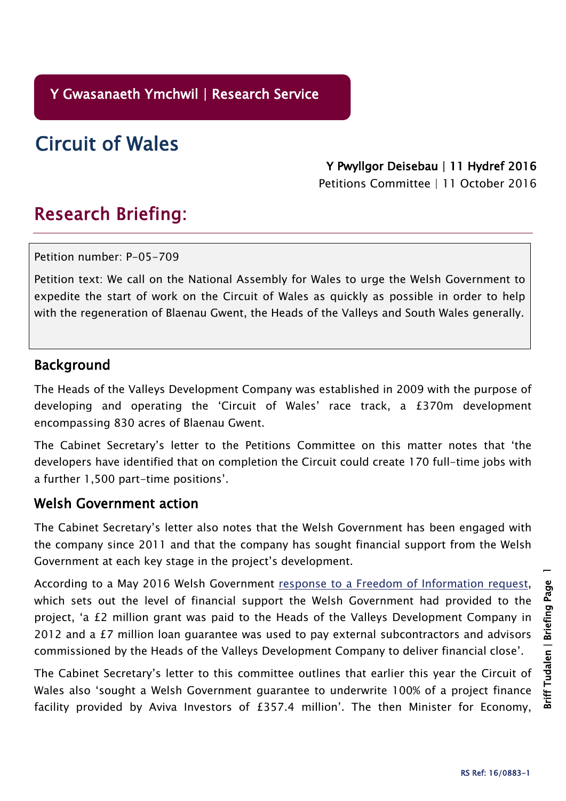**Y Gwasanaeth Ymchwil | Research Service**

**Circuit of Wales**

**Y Pwyllgor Deisebau | 11 Hydref 2016**

Petitions Committee | 11 October 2016

## **Research Briefing:**

Petition number: P-05-709

Petition text: We call on the National Assembly for Wales to urge the Welsh Government to expedite the start of work on the Circuit of Wales as quickly as possible in order to help with the regeneration of Blaenau Gwent, the Heads of the Valleys and South Wales generally.

## **Background**

The Heads of the Valleys Development Company was established in 2009 with the purpose of developing and operating the 'Circuit of Wales' race track, a £370m development encompassing 830 acres of Blaenau Gwent.

The Cabinet Secretary's letter to the Petitions Committee on this matter notes that 'the developers have identified that on completion the Circuit could create 170 full-time jobs with a further 1,500 part-time positions'.

## **Welsh Government action**

The Cabinet Secretary's letter also notes that the Welsh Government has been engaged with the company since 2011 and that the company has sought financial support from the Welsh Government at each key stage in the project's development.

According to a May 2016 Welsh Government response to a Freedom of [Information](http://gov.wales/about/foi/responses/2016/May16/atisn10362/?lang=en) request, which sets out the level of financial support the Welsh Government had provided to the project, 'a £2 million grant was paid to the Heads of the Valleys Development Company in 2012 and a £7 million loan guarantee was used to pay external subcontractors and advisors commissioned by the Heads of the Valleys Development Company to deliver financial close'.

The Cabinet Secretary's letter to this committee outlines that earlier this year the Circuit of Wales also 'sought a Welsh Government guarantee to underwrite 100% of a project finance facility provided by Aviva Investors of £357.4 million'. The then Minister for Economy,